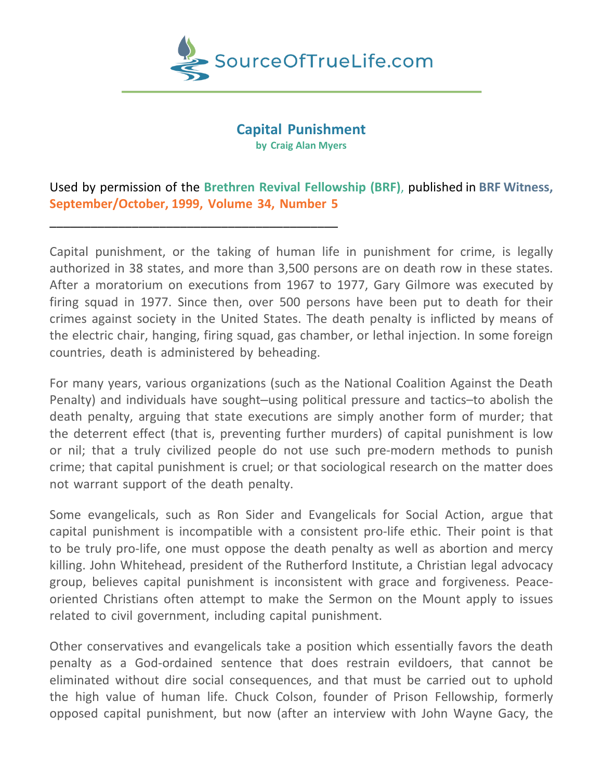

# **Capital Punishment**

**by Craig Alan Myers**

## Used by permission of the **Brethren Revival Fellowship (BRF)**, published in **BRF Witness, September/October, 1999, Volume 34, Number 5**

\_\_\_\_\_\_\_\_\_\_\_\_\_\_\_\_\_\_\_\_\_\_\_\_\_\_\_\_\_\_\_\_\_\_\_\_\_\_\_\_\_\_

Capital punishment, or the taking of human life in punishment for crime, is legally authorized in 38 states, and more than 3,500 persons are on death row in these states. After a moratorium on executions from 1967 to 1977, Gary Gilmore was executed by firing squad in 1977. Since then, over 500 persons have been put to death for their crimes against society in the United States. The death penalty is inflicted by means of the electric chair, hanging, firing squad, gas chamber, or lethal injection. In some foreign countries, death is administered by beheading.

For many years, various organizations (such as the National Coalition Against the Death Penalty) and individuals have sought–using political pressure and tactics–to abolish the death penalty, arguing that state executions are simply another form of murder; that the deterrent effect (that is, preventing further murders) of capital punishment is low or nil; that a truly civilized people do not use such pre-modern methods to punish crime; that capital punishment is cruel; or that sociological research on the matter does not warrant support of the death penalty.

Some evangelicals, such as Ron Sider and Evangelicals for Social Action, argue that capital punishment is incompatible with a consistent pro-life ethic. Their point is that to be truly pro-life, one must oppose the death penalty as well as abortion and mercy killing. John Whitehead, president of the Rutherford Institute, a Christian legal advocacy group, believes capital punishment is inconsistent with grace and forgiveness. Peaceoriented Christians often attempt to make the Sermon on the Mount apply to issues related to civil government, including capital punishment.

Other conservatives and evangelicals take a position which essentially favors the death penalty as a God-ordained sentence that does restrain evildoers, that cannot be eliminated without dire social consequences, and that must be carried out to uphold the high value of human life. Chuck Colson, founder of Prison Fellowship, formerly opposed capital punishment, but now (after an interview with John Wayne Gacy, the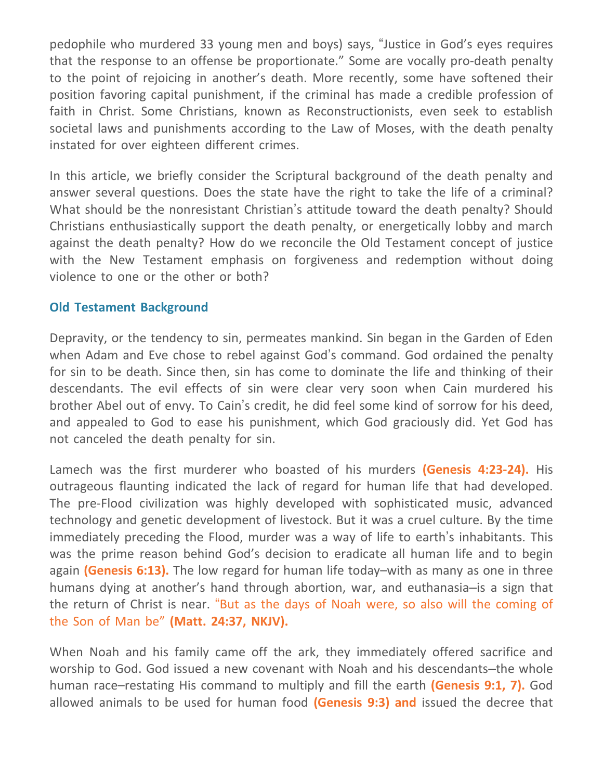pedophile who murdered 33 young men and boys) says, "Justice in God's eyes requires that the response to an offense be proportionate." Some are vocally pro-death penalty to the point of rejoicing in another's death. More recently, some have softened their position favoring capital punishment, if the criminal has made a credible profession of faith in Christ. Some Christians, known as Reconstructionists, even seek to establish societal laws and punishments according to the Law of Moses, with the death penalty instated for over eighteen different crimes.

In this article, we briefly consider the Scriptural background of the death penalty and answer several questions. Does the state have the right to take the life of a criminal? What should be the nonresistant Christian's attitude toward the death penalty? Should Christians enthusiastically support the death penalty, or energetically lobby and march against the death penalty? How do we reconcile the Old Testament concept of justice with the New Testament emphasis on forgiveness and redemption without doing violence to one or the other or both?

#### **Old Testament Background**

Depravity, or the tendency to sin, permeates mankind. Sin began in the Garden of Eden when Adam and Eve chose to rebel against God's command. God ordained the penalty for sin to be death. Since then, sin has come to dominate the life and thinking of their descendants. The evil effects of sin were clear very soon when Cain murdered his brother Abel out of envy. To Cain's credit, he did feel some kind of sorrow for his deed, and appealed to God to ease his punishment, which God graciously did. Yet God has not canceled the death penalty for sin.

Lamech was the first murderer who boasted of his murders **(Genesis 4:23-24).** His outrageous flaunting indicated the lack of regard for human life that had developed. The pre-Flood civilization was highly developed with sophisticated music, advanced technology and genetic development of livestock. But it was a cruel culture. By the time immediately preceding the Flood, murder was a way of life to earth's inhabitants. This was the prime reason behind God's decision to eradicate all human life and to begin again **(Genesis 6:13).** The low regard for human life today–with as many as one in three humans dying at another's hand through abortion, war, and euthanasia–is a sign that the return of Christ is near. "But as the days of Noah were, so also will the coming of the Son of Man be" **(Matt. 24:37, NKJV).**

When Noah and his family came off the ark, they immediately offered sacrifice and worship to God. God issued a new covenant with Noah and his descendants–the whole human race–restating His command to multiply and fill the earth **(Genesis 9:1, 7).** God allowed animals to be used for human food **(Genesis 9:3) and** issued the decree that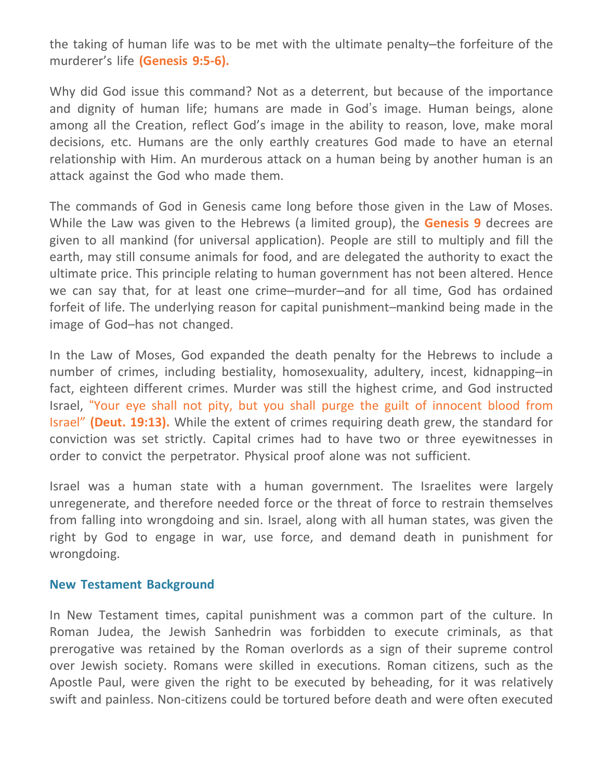the taking of human life was to be met with the ultimate penalty–the forfeiture of the murderer's life **(Genesis 9:5-6).**

Why did God issue this command? Not as a deterrent, but because of the importance and dignity of human life; humans are made in God's image. Human beings, alone among all the Creation, reflect God's image in the ability to reason, love, make moral decisions, etc. Humans are the only earthly creatures God made to have an eternal relationship with Him. An murderous attack on a human being by another human is an attack against the God who made them.

The commands of God in Genesis came long before those given in the Law of Moses. While the Law was given to the Hebrews (a limited group), the **Genesis 9** decrees are given to all mankind (for universal application). People are still to multiply and fill the earth, may still consume animals for food, and are delegated the authority to exact the ultimate price. This principle relating to human government has not been altered. Hence we can say that, for at least one crime–murder–and for all time, God has ordained forfeit of life. The underlying reason for capital punishment–mankind being made in the image of God–has not changed.

In the Law of Moses, God expanded the death penalty for the Hebrews to include a number of crimes, including bestiality, homosexuality, adultery, incest, kidnapping–in fact, eighteen different crimes. Murder was still the highest crime, and God instructed Israel, "Your eye shall not pity, but you shall purge the guilt of innocent blood from Israel" **(Deut. 19:13).** While the extent of crimes requiring death grew, the standard for conviction was set strictly. Capital crimes had to have two or three eyewitnesses in order to convict the perpetrator. Physical proof alone was not sufficient.

Israel was a human state with a human government. The Israelites were largely unregenerate, and therefore needed force or the threat of force to restrain themselves from falling into wrongdoing and sin. Israel, along with all human states, was given the right by God to engage in war, use force, and demand death in punishment for wrongdoing.

#### **New Testament Background**

In New Testament times, capital punishment was a common part of the culture. In Roman Judea, the Jewish Sanhedrin was forbidden to execute criminals, as that prerogative was retained by the Roman overlords as a sign of their supreme control over Jewish society. Romans were skilled in executions. Roman citizens, such as the Apostle Paul, were given the right to be executed by beheading, for it was relatively swift and painless. Non-citizens could be tortured before death and were often executed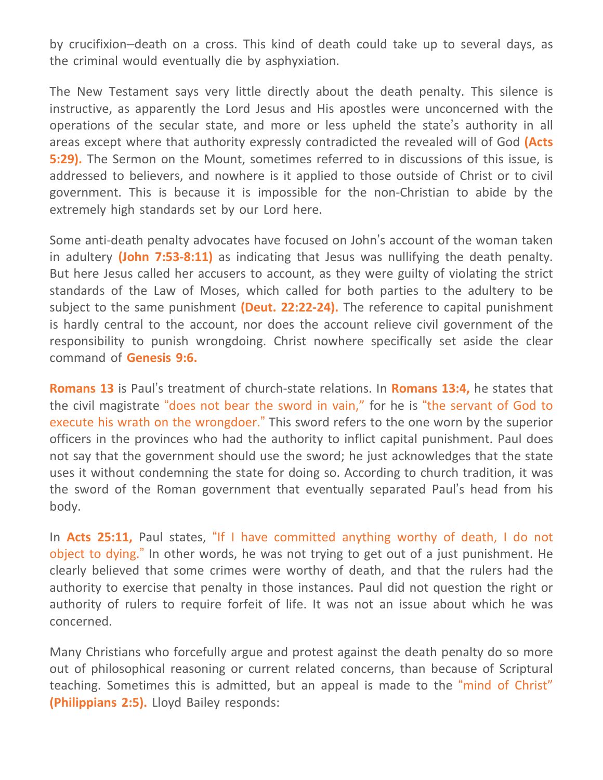by crucifixion–death on a cross. This kind of death could take up to several days, as the criminal would eventually die by asphyxiation.

The New Testament says very little directly about the death penalty. This silence is instructive, as apparently the Lord Jesus and His apostles were unconcerned with the operations of the secular state, and more or less upheld the state's authority in all areas except where that authority expressly contradicted the revealed will of God **(Acts 5:29).** The Sermon on the Mount, sometimes referred to in discussions of this issue, is addressed to believers, and nowhere is it applied to those outside of Christ or to civil government. This is because it is impossible for the non-Christian to abide by the extremely high standards set by our Lord here.

Some anti-death penalty advocates have focused on John's account of the woman taken in adultery **(John 7:53-8:11)** as indicating that Jesus was nullifying the death penalty. But here Jesus called her accusers to account, as they were guilty of violating the strict standards of the Law of Moses, which called for both parties to the adultery to be subject to the same punishment **(Deut. 22:22-24).** The reference to capital punishment is hardly central to the account, nor does the account relieve civil government of the responsibility to punish wrongdoing. Christ nowhere specifically set aside the clear command of **Genesis 9:6.**

**Romans 13** is Paul's treatment of church-state relations. In **Romans 13:4,** he states that the civil magistrate "does not bear the sword in vain," for he is "the servant of God to execute his wrath on the wrongdoer." This sword refers to the one worn by the superior officers in the provinces who had the authority to inflict capital punishment. Paul does not say that the government should use the sword; he just acknowledges that the state uses it without condemning the state for doing so. According to church tradition, it was the sword of the Roman government that eventually separated Paul's head from his body.

In **Acts 25:11,** Paul states, "If I have committed anything worthy of death, I do not object to dying." In other words, he was not trying to get out of a just punishment. He clearly believed that some crimes were worthy of death, and that the rulers had the authority to exercise that penalty in those instances. Paul did not question the right or authority of rulers to require forfeit of life. It was not an issue about which he was concerned.

Many Christians who forcefully argue and protest against the death penalty do so more out of philosophical reasoning or current related concerns, than because of Scriptural teaching. Sometimes this is admitted, but an appeal is made to the "mind of Christ" **(Philippians 2:5).** Lloyd Bailey responds: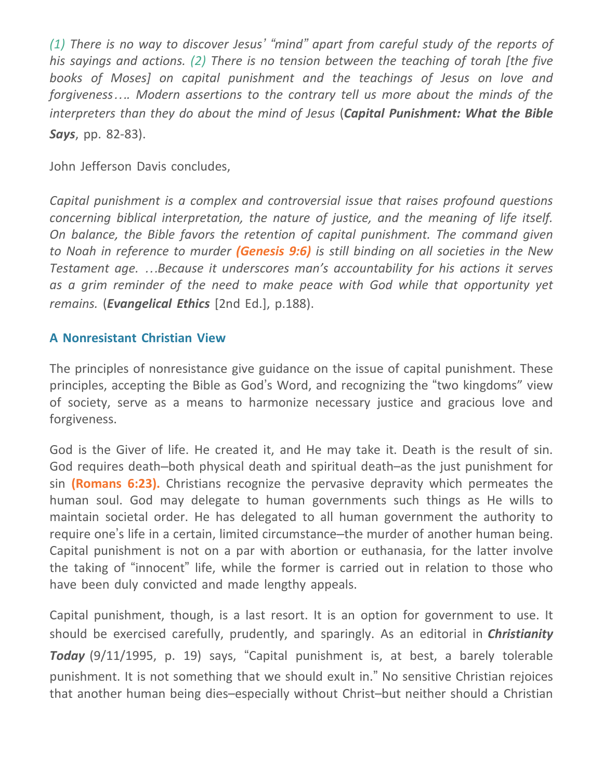(1) There is no way to discover Jesus' "mind" apart from careful study of the reports of *his sayings and actions. (2) There is no tension between the teaching of torah [the five books of Moses] on capital punishment and the teachings of Jesus on love and forgiveness…. Modern assertions to the contrary tell us more about the minds of the interpreters than they do about the mind of Jesus* (*Capital Punishment: What the Bible Says*, pp. 82-83).

John Jefferson Davis concludes,

*Capital punishment is a complex and controversial issue that raises profound questions concerning biblical interpretation, the nature of justice, and the meaning of life itself. On balance, the Bible favors the retention of capital punishment. The command given to Noah in reference to murder (Genesis 9:6) is still binding on all societies in the New Testament age. …Because it underscores man's accountability for his actions it serves as a grim reminder of the need to make peace with God while that opportunity yet remains.* (*Evangelical Ethics* [2nd Ed.], p.188).

### **A Nonresistant Christian View**

The principles of nonresistance give guidance on the issue of capital punishment. These principles, accepting the Bible as God's Word, and recognizing the "two kingdoms" view of society, serve as a means to harmonize necessary justice and gracious love and forgiveness.

God is the Giver of life. He created it, and He may take it. Death is the result of sin. God requires death–both physical death and spiritual death–as the just punishment for sin **(Romans 6:23).** Christians recognize the pervasive depravity which permeates the human soul. God may delegate to human governments such things as He wills to maintain societal order. He has delegated to all human government the authority to require one's life in a certain, limited circumstance–the murder of another human being. Capital punishment is not on a par with abortion or euthanasia, for the latter involve the taking of "innocent" life, while the former is carried out in relation to those who have been duly convicted and made lengthy appeals.

Capital punishment, though, is a last resort. It is an option for government to use. It should be exercised carefully, prudently, and sparingly. As an editorial in *Christianity Today* (9/11/1995, p. 19) says, "Capital punishment is, at best, a barely tolerable punishment. It is not something that we should exult in." No sensitive Christian rejoices that another human being dies–especially without Christ–but neither should a Christian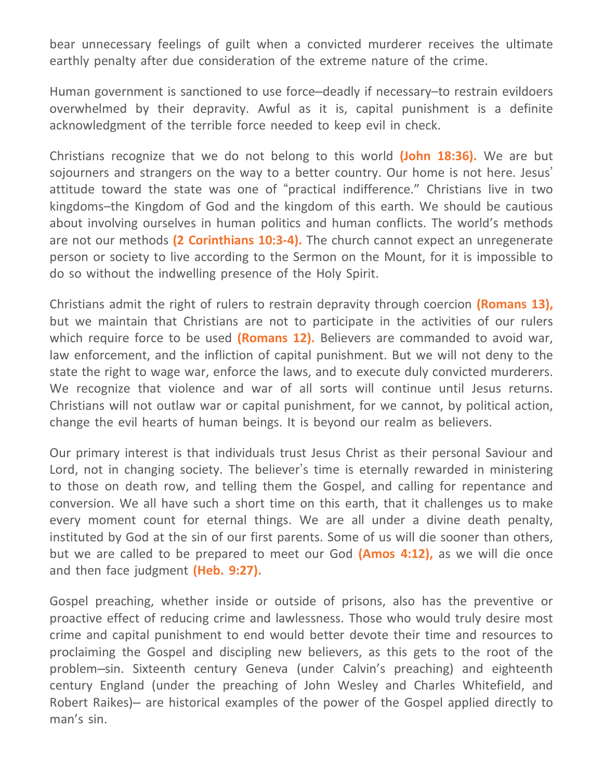bear unnecessary feelings of guilt when a convicted murderer receives the ultimate earthly penalty after due consideration of the extreme nature of the crime.

Human government is sanctioned to use force–deadly if necessary–to restrain evildoers overwhelmed by their depravity. Awful as it is, capital punishment is a definite acknowledgment of the terrible force needed to keep evil in check.

Christians recognize that we do not belong to this world **(John 18:36).** We are but sojourners and strangers on the way to a better country. Our home is not here. Jesus' attitude toward the state was one of "practical indifference." Christians live in two kingdoms–the Kingdom of God and the kingdom of this earth. We should be cautious about involving ourselves in human politics and human conflicts. The world's methods are not our methods **(2 Corinthians 10:3-4).** The church cannot expect an unregenerate person or society to live according to the Sermon on the Mount, for it is impossible to do so without the indwelling presence of the Holy Spirit.

Christians admit the right of rulers to restrain depravity through coercion **(Romans 13),** but we maintain that Christians are not to participate in the activities of our rulers which require force to be used **(Romans 12).** Believers are commanded to avoid war, law enforcement, and the infliction of capital punishment. But we will not deny to the state the right to wage war, enforce the laws, and to execute duly convicted murderers. We recognize that violence and war of all sorts will continue until Jesus returns. Christians will not outlaw war or capital punishment, for we cannot, by political action, change the evil hearts of human beings. It is beyond our realm as believers.

Our primary interest is that individuals trust Jesus Christ as their personal Saviour and Lord, not in changing society. The believer's time is eternally rewarded in ministering to those on death row, and telling them the Gospel, and calling for repentance and conversion. We all have such a short time on this earth, that it challenges us to make every moment count for eternal things. We are all under a divine death penalty, instituted by God at the sin of our first parents. Some of us will die sooner than others, but we are called to be prepared to meet our God **(Amos 4:12),** as we will die once and then face judgment **(Heb. 9:27).**

Gospel preaching, whether inside or outside of prisons, also has the preventive or proactive effect of reducing crime and lawlessness. Those who would truly desire most crime and capital punishment to end would better devote their time and resources to proclaiming the Gospel and discipling new believers, as this gets to the root of the problem–sin. Sixteenth century Geneva (under Calvin's preaching) and eighteenth century England (under the preaching of John Wesley and Charles Whitefield, and Robert Raikes)– are historical examples of the power of the Gospel applied directly to man's sin.